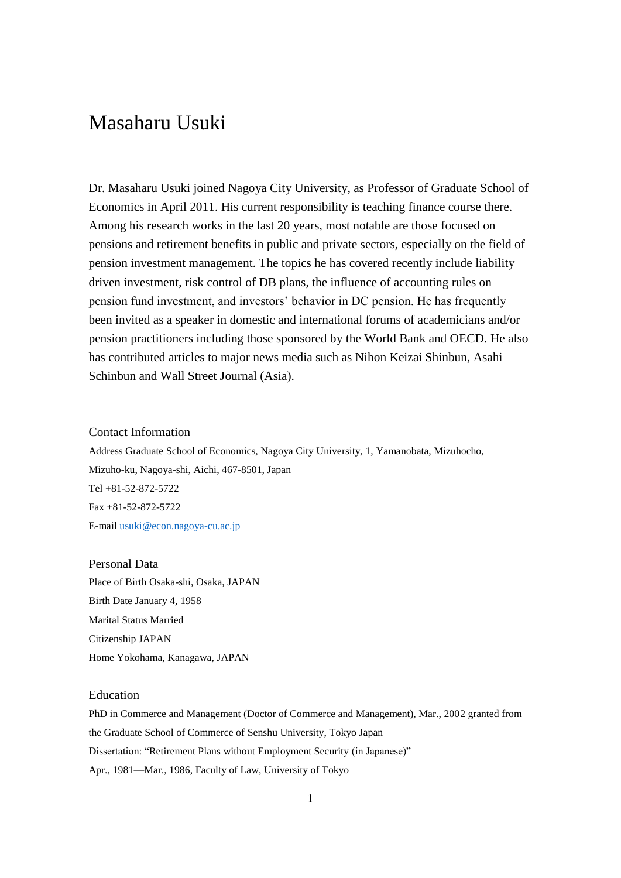# Masaharu Usuki

Dr. Masaharu Usuki joined Nagoya City University, as Professor of Graduate School of Economics in April 2011. His current responsibility is teaching finance course there. Among his research works in the last 20 years, most notable are those focused on pensions and retirement benefits in public and private sectors, especially on the field of pension investment management. The topics he has covered recently include liability driven investment, risk control of DB plans, the influence of accounting rules on pension fund investment, and investors' behavior in DC pension. He has frequently been invited as a speaker in domestic and international forums of academicians and/or pension practitioners including those sponsored by the World Bank and OECD. He also has contributed articles to major news media such as Nihon Keizai Shinbun, Asahi Schinbun and Wall Street Journal (Asia).

# Contact Information

Address Graduate School of Economics, Nagoya City University, 1, Yamanobata, Mizuhocho, Mizuho-ku, Nagoya-shi, Aichi, 467-8501, Japan Tel +81-52-872-5722 Fax +81-52-872-5722 E-mail [usuki@econ.nagoya-cu.ac.jp](mailto:usuki@econ.nagoya-cu.ac.jp)

Personal Data Place of Birth Osaka-shi, Osaka, JAPAN Birth Date January 4, 1958 Marital Status Married Citizenship JAPAN Home Yokohama, Kanagawa, JAPAN

# Education

PhD in Commerce and Management (Doctor of Commerce and Management), Mar., 2002 granted from the Graduate School of Commerce of Senshu University, Tokyo Japan Dissertation: "Retirement Plans without Employment Security (in Japanese)" Apr., 1981—Mar., 1986, Faculty of Law, University of Tokyo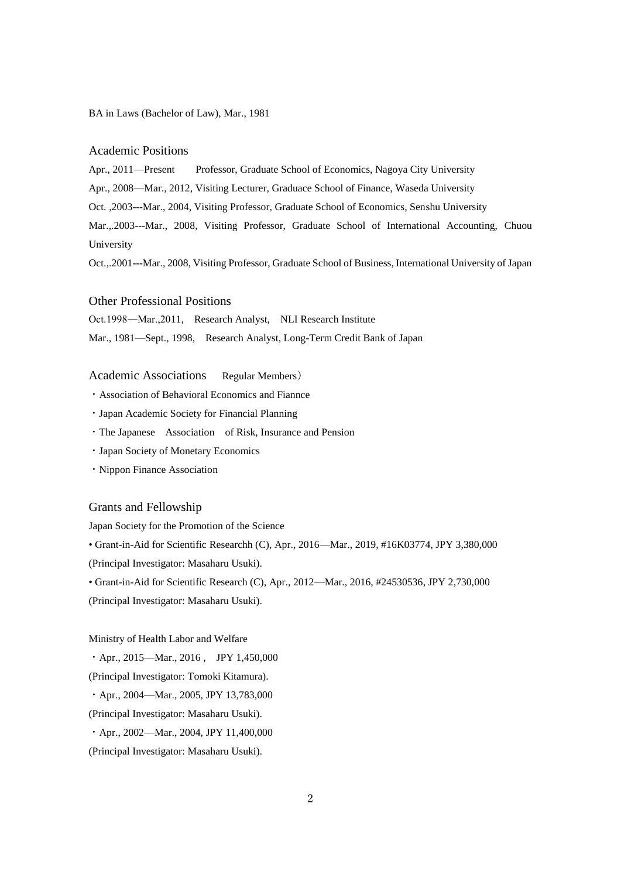BA in Laws (Bachelor of Law), Mar., 1981

### Academic Positions

Apr., 2011—Present Professor, Graduate School of Economics, Nagoya City University

Apr., 2008—Mar., 2012, Visiting Lecturer, Graduace School of Finance, Waseda University

Oct. ,2003---Mar., 2004, Visiting Professor, Graduate School of Economics, Senshu University

Mar.,.2003---Mar., 2008, Visiting Professor, Graduate School of International Accounting, Chuou University

Oct.,.2001---Mar., 2008, Visiting Professor, Graduate School of Business, International University of Japan

## Other Professional Positions

Oct.1998―Mar.,2011, Research Analyst, NLI Research Institute

Mar., 1981—Sept., 1998, Research Analyst, Long-Term Credit Bank of Japan

## Academic Associations Regular Members)

- ・Association of Behavioral Economics and Fiannce
- ・Japan Academic Society for Financial Planning
- ・The Japanese Association of Risk, Insurance and Pension
- ・Japan Society of Monetary Economics
- ・Nippon Finance Association

## Grants and Fellowship

Japan Society for the Promotion of the Science

• Grant-in-Aid for Scientific Researchh (C), Apr., 2016—Mar., 2019, #16K03774, JPY 3,380,000 (Principal Investigator: Masaharu Usuki).

• Grant-in-Aid for Scientific Research (C), Apr., 2012—Mar., 2016, #24530536, JPY 2,730,000

(Principal Investigator: Masaharu Usuki).

#### Ministry of Health Labor and Welfare

 $\cdot$  Apr., 2015—Mar., 2016, JPY 1,450,000

(Principal Investigator: Tomoki Kitamura).

・Apr., 2004—Mar., 2005, JPY 13,783,000

(Principal Investigator: Masaharu Usuki).

・Apr., 2002—Mar., 2004, JPY 11,400,000

(Principal Investigator: Masaharu Usuki).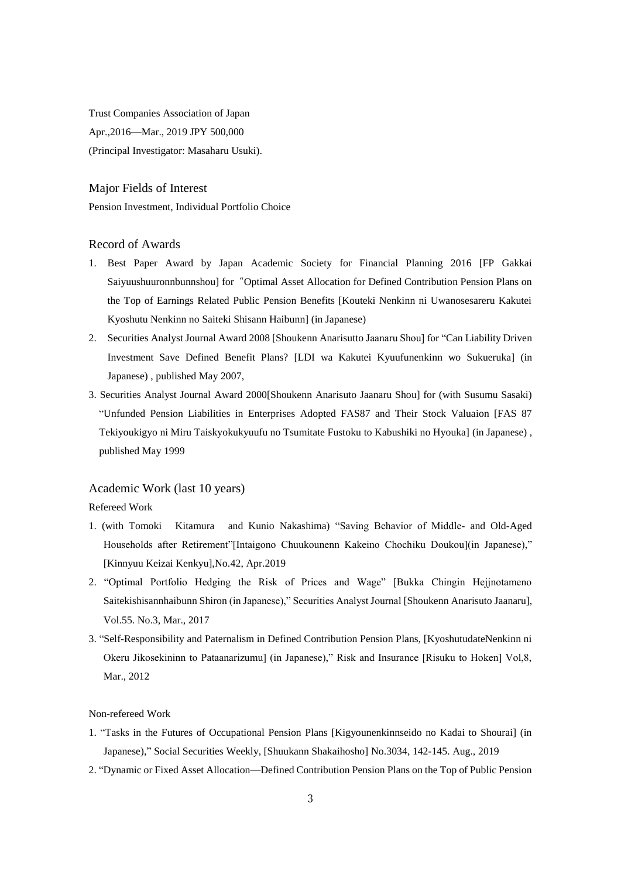Trust Companies Association of Japan Apr.,2016—Mar., 2019 JPY 500,000 (Principal Investigator: Masaharu Usuki).

# Major Fields of Interest

Pension Investment, Individual Portfolio Choice

# Record of Awards

- 1. Best Paper Award by Japan Academic Society for Financial Planning 2016 [FP Gakkai Saiyuushuuronnbunnshou] for "Optimal Asset Allocation for Defined Contribution Pension Plans on the Top of Earnings Related Public Pension Benefits [Kouteki Nenkinn ni Uwanosesareru Kakutei Kyoshutu Nenkinn no Saiteki Shisann Haibunn] (in Japanese)
- 2. Securities Analyst Journal Award 2008 [Shoukenn Anarisutto Jaanaru Shou] for "Can Liability Driven Investment Save Defined Benefit Plans? [LDI wa Kakutei Kyuufunenkinn wo Sukueruka] (in Japanese) , published May 2007,
- 3. Securities Analyst Journal Award 2000[Shoukenn Anarisuto Jaanaru Shou] for (with Susumu Sasaki) "Unfunded Pension Liabilities in Enterprises Adopted FAS87 and Their Stock Valuaion [FAS 87 Tekiyoukigyo ni Miru Taiskyokukyuufu no Tsumitate Fustoku to Kabushiki no Hyouka] (in Japanese) , published May 1999

# Academic Work (last 10 years)

Refereed Work

- 1. (with Tomoki Kitamura and Kunio Nakashima) "Saving Behavior of Middle- and Old-Aged Households after Retirement"[Intaigono Chuukounenn Kakeino Chochiku Doukou](in Japanese)," [Kinnyuu Keizai Kenkyu],No.42, Apr.2019
- 2. "Optimal Portfolio Hedging the Risk of Prices and Wage" [Bukka Chingin Hejjnotameno Saitekishisannhaibunn Shiron (in Japanese)," Securities Analyst Journal [Shoukenn Anarisuto Jaanaru], Vol.55. No.3, Mar., 2017
- 3. "Self-Responsibility and Paternalism in Defined Contribution Pension Plans, [KyoshutudateNenkinn ni Okeru Jikosekininn to Pataanarizumu] (in Japanese)," Risk and Insurance [Risuku to Hoken] Vol,8, Mar., 2012

## Non-refereed Work

- 1. "Tasks in the Futures of Occupational Pension Plans [Kigyounenkinnseido no Kadai to Shourai] (in Japanese)," Social Securities Weekly, [Shuukann Shakaihosho] No.3034, 142-145. Aug., 2019
- 2. "Dynamic or Fixed Asset Allocation—Defined Contribution Pension Plans on the Top of Public Pension